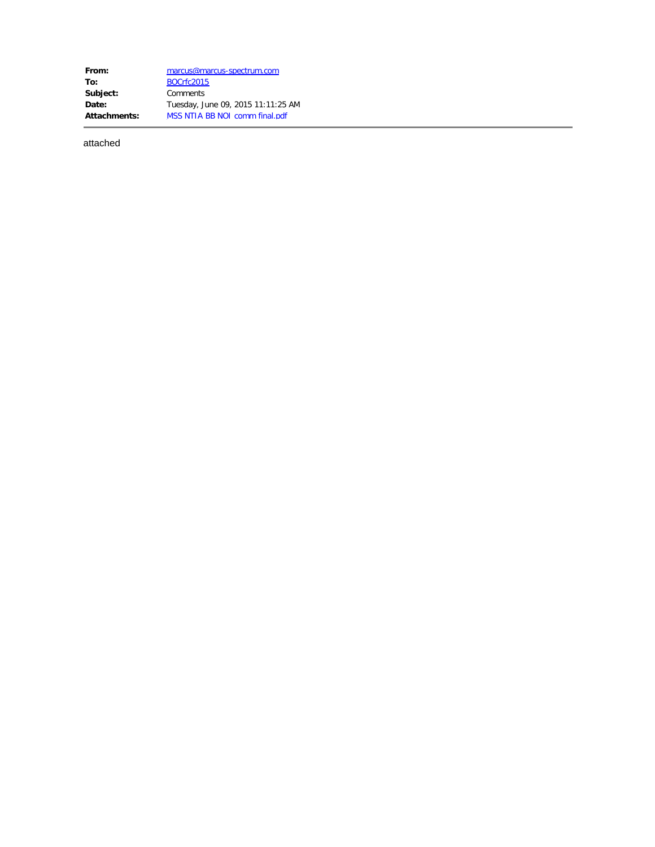**From:** [marcus@marcus-spectrum.com](mailto:marcus@marcus-spectrum.com) **To:** [BOCrfc2015](mailto:BOCrfc2015@ntia.doc.gov) **Subject:** Comments **Date:** Tuesday, June 09, 2015 11:11:25 AM **Attachments:** MSS NTIA BB NOI comm final.pdf

attached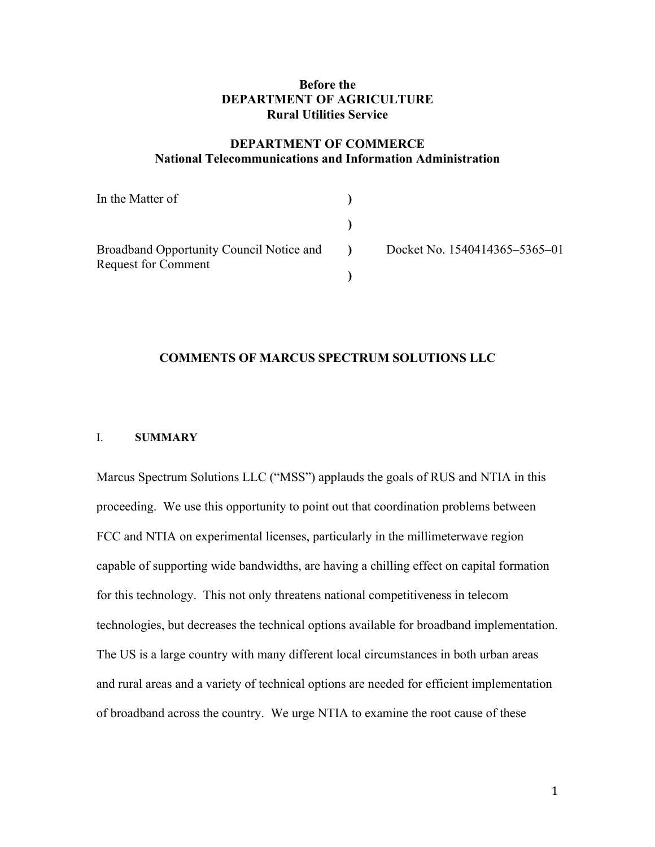## **Before the DEPARTMENT OF AGRICULTURE Rural Utilities Service**

## **DEPARTMENT OF COMMERCE National Telecommunications and Information Administration**

| In the Matter of                                                              |                |                               |
|-------------------------------------------------------------------------------|----------------|-------------------------------|
|                                                                               |                |                               |
| <b>Broadband Opportunity Council Notice and</b><br><b>Request for Comment</b> | $\blacksquare$ | Docket No. 1540414365-5365-01 |
|                                                                               |                |                               |

#### **COMMENTS OF MARCUS SPECTRUM SOLUTIONS LLC**

## I. **SUMMARY**

Marcus Spectrum Solutions LLC ("MSS") applauds the goals of RUS and NTIA in this proceeding. We use this opportunity to point out that coordination problems between FCC and NTIA on experimental licenses, particularly in the millimeterwave region capable of supporting wide bandwidths, are having a chilling effect on capital formation for this technology. This not only threatens national competitiveness in telecom technologies, but decreases the technical options available for broadband implementation. The US is a large country with many different local circumstances in both urban areas and rural areas and a variety of technical options are needed for efficient implementation of broadband across the country. We urge NTIA to examine the root cause of these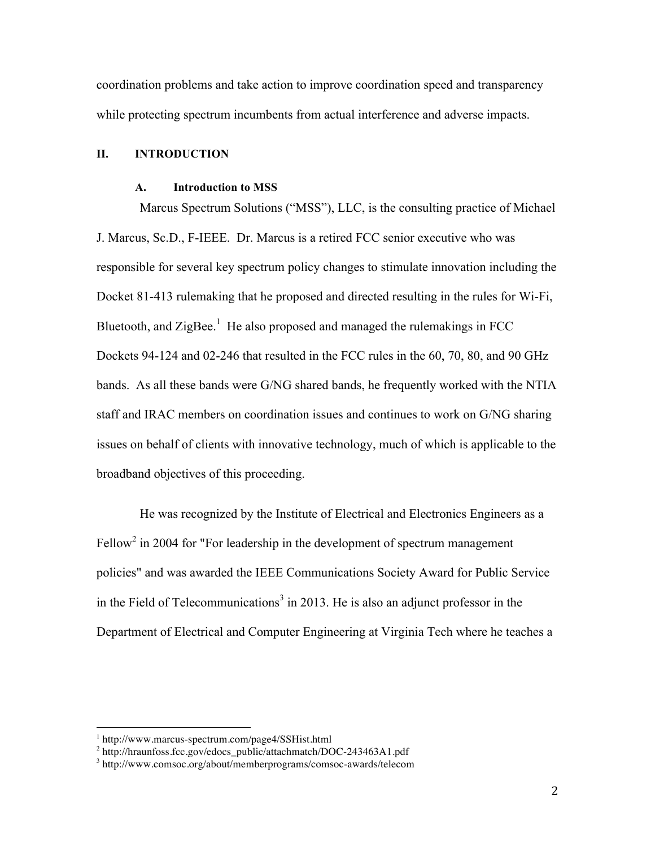coordination problems and take action to improve coordination speed and transparency while protecting spectrum incumbents from actual interference and adverse impacts.

## **II. INTRODUCTION**

#### **A. Introduction to MSS**

Marcus Spectrum Solutions ("MSS"), LLC, is the consulting practice of Michael J. Marcus, Sc.D., F-IEEE. Dr. Marcus is a retired FCC senior executive who was responsible for several key spectrum policy changes to stimulate innovation including the Docket 81-413 rulemaking that he proposed and directed resulting in the rules for Wi-Fi, Bluetooth, and ZigBee.<sup>1</sup> He also proposed and managed the rulemakings in FCC Dockets 94-124 and 02-246 that resulted in the FCC rules in the 60, 70, 80, and 90 GHz bands. As all these bands were G/NG shared bands, he frequently worked with the NTIA staff and IRAC members on coordination issues and continues to work on G/NG sharing issues on behalf of clients with innovative technology, much of which is applicable to the broadband objectives of this proceeding.

He was recognized by the Institute of Electrical and Electronics Engineers as a Fellow<sup>2</sup> in 2004 for "For leadership in the development of spectrum management policies" and was awarded the IEEE Communications Society Award for Public Service in the Field of Telecommunications<sup>3</sup> in 2013. He is also an adjunct professor in the Department of Electrical and Computer Engineering at Virginia Tech where he teaches a

<sup>1</sup> http://www.marcus-spectrum.com/page4/SSHist.html

<sup>2</sup> http://hraunfoss.fcc.gov/edocs\_public/attachmatch/DOC-243463A1.pdf

<sup>3</sup> http://www.comsoc.org/about/memberprograms/comsoc-awards/telecom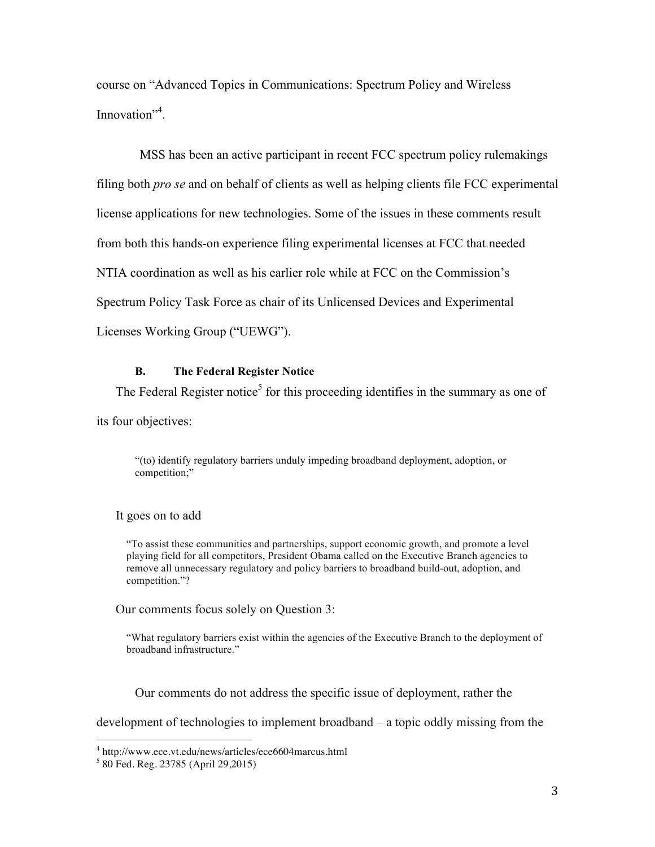course on "Advanced Topics in Communications: Spectrum Policy and Wireless Innovation"<sup>4</sup>.

MSS has been an active participant in recent FCC spectrum policy rulemakings filing both *pro se* and on behalf of clients as well as helping clients file FCC experimental license applications for new technologies. Some of the issues in these comments result from both this hands-on experience filing experimental licenses at FCC that needed NTIA coordination as well as his earlier role while at FCC on the Commission's Spectrum Policy Task Force as chair of its Unlicensed Devices and Experimental Licenses Working Group ("UEWG").

### **B. The Federal Register Notice**

The Federal Register notice<sup>5</sup> for this proceeding identifies in the summary as one of

its four objectives:

"(to) identify regulatory barriers unduly impeding broadband deployment, adoption, or competition;"

It goes on to add

"To assist these communities and partnerships, support economic growth, and promote a level playing field for all competitors, President Obama called on the Executive Branch agencies to remove all unnecessary regulatory and policy barriers to broadband build-out, adoption, and competition."?

Our comments focus solely on Question 3:

"What regulatory barriers exist within the agencies of the Executive Branch to the deployment of broadband infrastructure."

Our comments do not address the specific issue of deployment, rather the

development of technologies to implement broadband – a topic oddly missing from the

<sup>4</sup> http://www.ece.vt.edu/news/articles/ece6604marcus.html

<sup>5</sup> 80 Fed. Reg. 23785 (April 29,2015)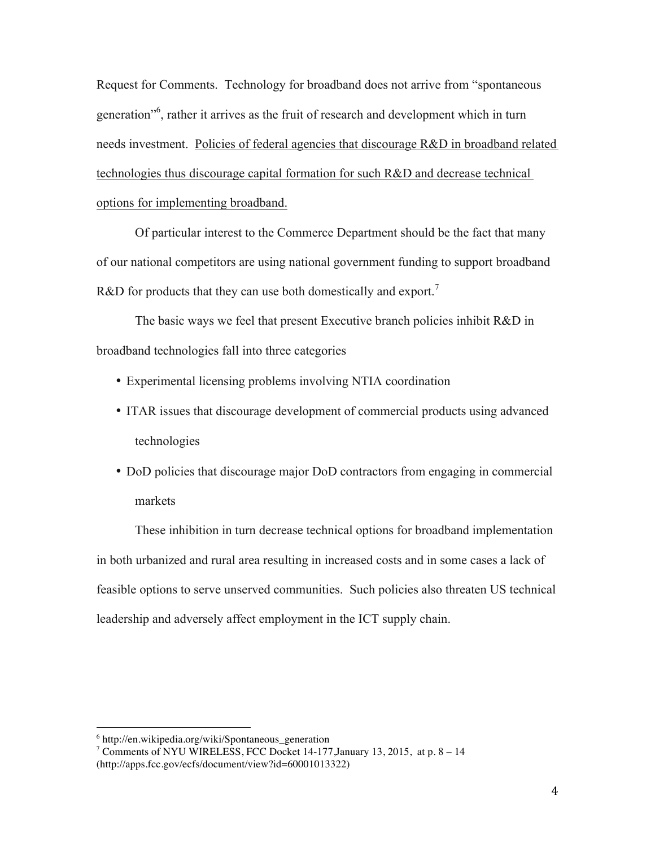Request for Comments. Technology for broadband does not arrive from "spontaneous generation"6 , rather it arrives as the fruit of research and development which in turn needs investment. Policies of federal agencies that discourage R&D in broadband related technologies thus discourage capital formation for such R&D and decrease technical options for implementing broadband.

Of particular interest to the Commerce Department should be the fact that many of our national competitors are using national government funding to support broadband R&D for products that they can use both domestically and export.<sup>7</sup>

The basic ways we feel that present Executive branch policies inhibit R&D in broadband technologies fall into three categories

- Experimental licensing problems involving NTIA coordination
- ITAR issues that discourage development of commercial products using advanced technologies
- DoD policies that discourage major DoD contractors from engaging in commercial markets

These inhibition in turn decrease technical options for broadband implementation in both urbanized and rural area resulting in increased costs and in some cases a lack of feasible options to serve unserved communities. Such policies also threaten US technical leadership and adversely affect employment in the ICT supply chain.

 $6$  http://en.wikipedia.org/wiki/Spontaneous generation

<sup>&</sup>lt;sup>7</sup> Comments of NYU WIRELESS, FCC Docket 14-177, January 13, 2015, at p. 8 – 14 (http://apps.fcc.gov/ecfs/document/view?id=60001013322)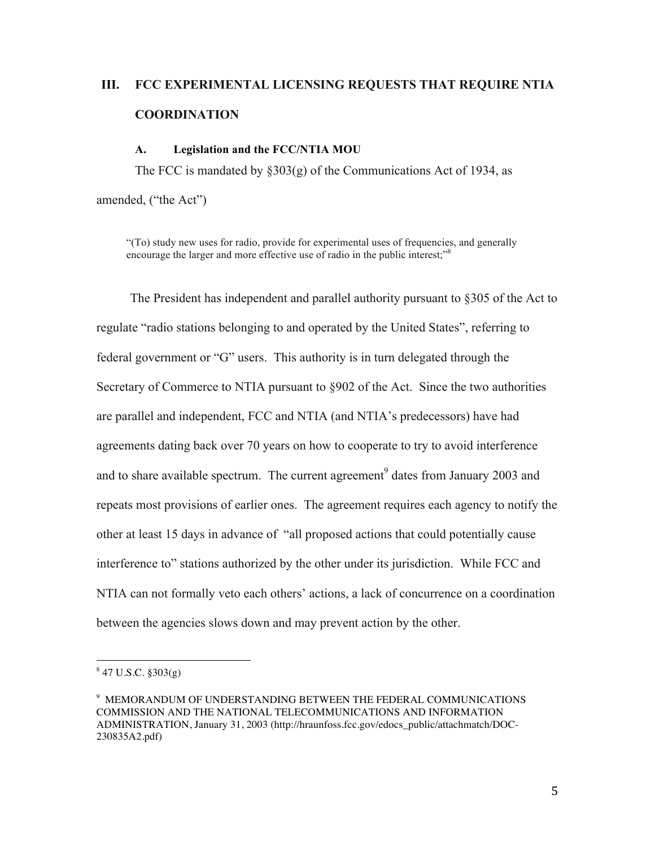# **III. FCC EXPERIMENTAL LICENSING REQUESTS THAT REQUIRE NTIA COORDINATION**

#### **A. Legislation and the FCC/NTIA MOU**

The FCC is mandated by §303(g) of the Communications Act of 1934, as amended, ("the Act")

"(To) study new uses for radio, provide for experimental uses of frequencies, and generally encourage the larger and more effective use of radio in the public interest;<sup> $n<sup>8</sup>$ </sup>

The President has independent and parallel authority pursuant to §305 of the Act to regulate "radio stations belonging to and operated by the United States", referring to federal government or "G" users. This authority is in turn delegated through the Secretary of Commerce to NTIA pursuant to §902 of the Act. Since the two authorities are parallel and independent, FCC and NTIA (and NTIA's predecessors) have had agreements dating back over 70 years on how to cooperate to try to avoid interference and to share available spectrum. The current agreement<sup>9</sup> dates from January 2003 and repeats most provisions of earlier ones. The agreement requires each agency to notify the other at least 15 days in advance of "all proposed actions that could potentially cause interference to" stations authorized by the other under its jurisdiction. While FCC and NTIA can not formally veto each others' actions, a lack of concurrence on a coordination between the agencies slows down and may prevent action by the other.

 $847$  U.S.C.  $8303(e)$ 

<sup>9</sup> MEMORANDUM OF UNDERSTANDING BETWEEN THE FEDERAL COMMUNICATIONS COMMISSION AND THE NATIONAL TELECOMMUNICATIONS AND INFORMATION ADMINISTRATION, January 31, 2003 (http://hraunfoss.fcc.gov/edocs\_public/attachmatch/DOC-230835A2.pdf)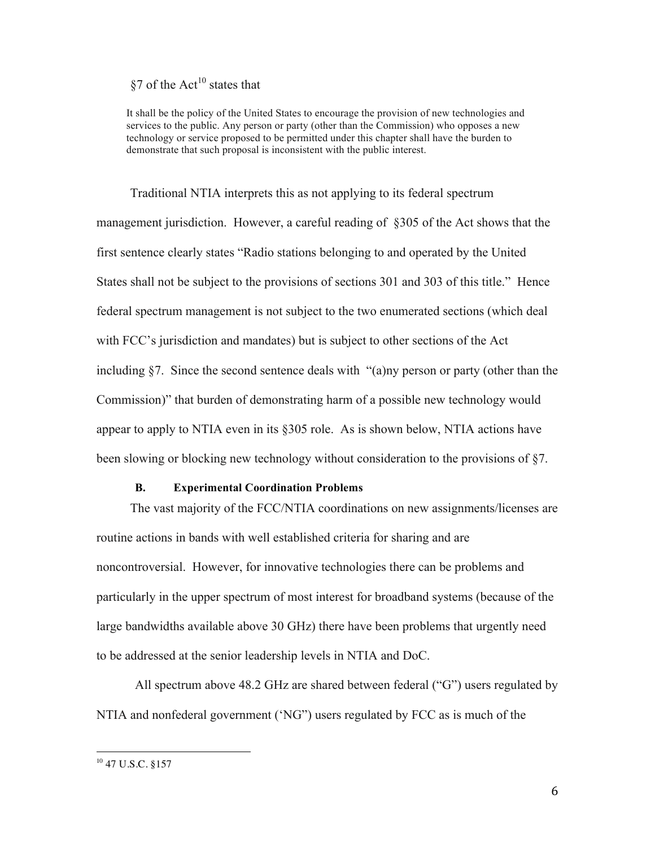# §7 of the  $Act^{10}$  states that

It shall be the policy of the United States to encourage the provision of new technologies and services to the public. Any person or party (other than the Commission) who opposes a new technology or service proposed to be permitted under this chapter shall have the burden to demonstrate that such proposal is inconsistent with the public interest.

Traditional NTIA interprets this as not applying to its federal spectrum management jurisdiction. However, a careful reading of §305 of the Act shows that the first sentence clearly states "Radio stations belonging to and operated by the United States shall not be subject to the provisions of sections 301 and 303 of this title." Hence federal spectrum management is not subject to the two enumerated sections (which deal with FCC's jurisdiction and mandates) but is subject to other sections of the Act including §7. Since the second sentence deals with "(a)ny person or party (other than the Commission)" that burden of demonstrating harm of a possible new technology would appear to apply to NTIA even in its §305 role. As is shown below, NTIA actions have been slowing or blocking new technology without consideration to the provisions of §7.

#### **B. Experimental Coordination Problems**

The vast majority of the FCC/NTIA coordinations on new assignments/licenses are routine actions in bands with well established criteria for sharing and are noncontroversial. However, for innovative technologies there can be problems and particularly in the upper spectrum of most interest for broadband systems (because of the large bandwidths available above 30 GHz) there have been problems that urgently need to be addressed at the senior leadership levels in NTIA and DoC.

All spectrum above 48.2 GHz are shared between federal ("G") users regulated by NTIA and nonfederal government ('NG") users regulated by FCC as is much of the

<sup>10</sup> 47 U.S.C. §157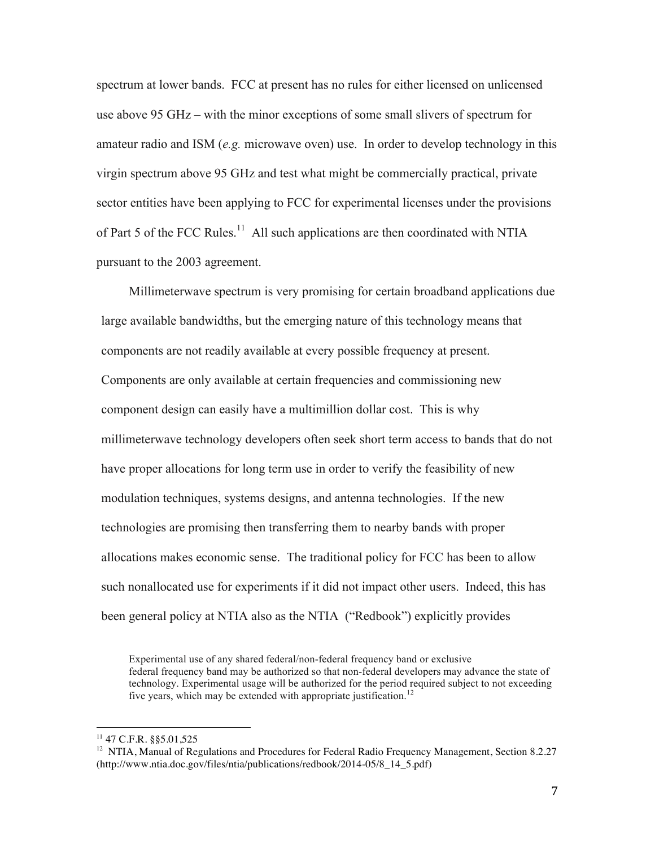spectrum at lower bands. FCC at present has no rules for either licensed on unlicensed use above 95 GHz – with the minor exceptions of some small slivers of spectrum for amateur radio and ISM (*e.g.* microwave oven) use. In order to develop technology in this virgin spectrum above 95 GHz and test what might be commercially practical, private sector entities have been applying to FCC for experimental licenses under the provisions of Part 5 of the FCC Rules.<sup>11</sup> All such applications are then coordinated with NTIA pursuant to the 2003 agreement.

Millimeterwave spectrum is very promising for certain broadband applications due large available bandwidths, but the emerging nature of this technology means that components are not readily available at every possible frequency at present. Components are only available at certain frequencies and commissioning new component design can easily have a multimillion dollar cost. This is why millimeterwave technology developers often seek short term access to bands that do not have proper allocations for long term use in order to verify the feasibility of new modulation techniques, systems designs, and antenna technologies. If the new technologies are promising then transferring them to nearby bands with proper allocations makes economic sense. The traditional policy for FCC has been to allow such nonallocated use for experiments if it did not impact other users. Indeed, this has been general policy at NTIA also as the NTIA ("Redbook") explicitly provides

Experimental use of any shared federal/non-federal frequency band or exclusive federal frequency band may be authorized so that non-federal developers may advance the state of technology. Experimental usage will be authorized for the period required subject to not exceeding five years, which may be extended with appropriate justification.<sup>12</sup>

 $11$  47 C.F.R. §§5.01,525

<sup>&</sup>lt;sup>12</sup> NTIA, Manual of Regulations and Procedures for Federal Radio Frequency Management, Section 8.2.27 (http://www.ntia.doc.gov/files/ntia/publications/redbook/2014-05/8\_14\_5.pdf)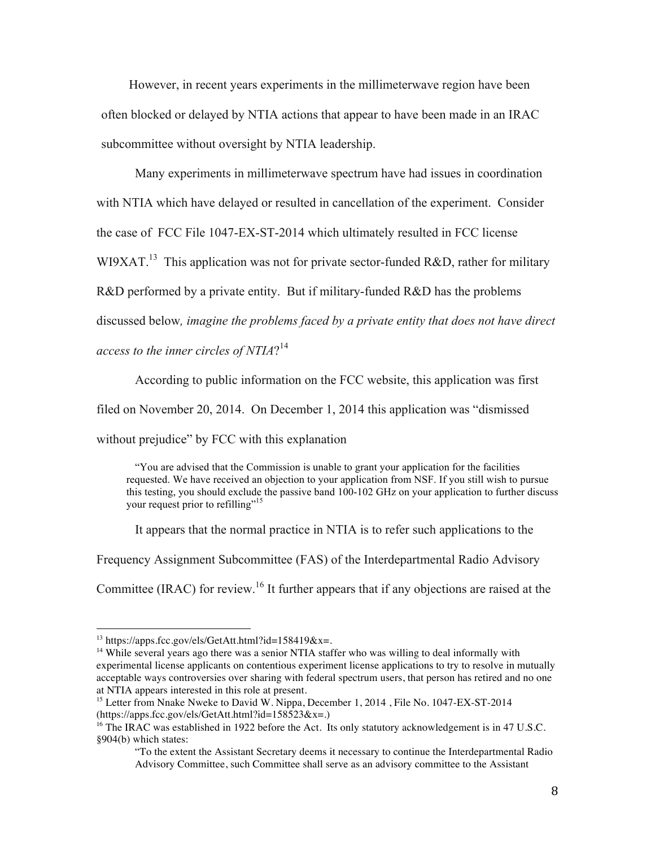However, in recent years experiments in the millimeterwave region have been often blocked or delayed by NTIA actions that appear to have been made in an IRAC subcommittee without oversight by NTIA leadership.

Many experiments in millimeterwave spectrum have had issues in coordination

with NTIA which have delayed or resulted in cancellation of the experiment. Consider

the case of FCC File 1047-EX-ST-2014 which ultimately resulted in FCC license

WI9XAT.<sup>13</sup> This application was not for private sector-funded R&D, rather for military

R&D performed by a private entity. But if military-funded R&D has the problems

discussed below*, imagine the problems faced by a private entity that does not have direct* 

*access to the inner circles of NTIA*? 14

According to public information on the FCC website, this application was first

filed on November 20, 2014. On December 1, 2014 this application was "dismissed

without prejudice" by FCC with this explanation

"You are advised that the Commission is unable to grant your application for the facilities requested. We have received an objection to your application from NSF. If you still wish to pursue this testing, you should exclude the passive band 100-102 GHz on your application to further discuss your request prior to refilling"<sup>15</sup>

It appears that the normal practice in NTIA is to refer such applications to the

Frequency Assignment Subcommittee (FAS) of the Interdepartmental Radio Advisory

Committee (IRAC) for review.<sup>16</sup> It further appears that if any objections are raised at the

 $13 \text{ https://apps.fcc.gov/els/GetAt1.html?id=158419&x=$ .

<sup>&</sup>lt;sup>14</sup> While several years ago there was a senior NTIA staffer who was willing to deal informally with experimental license applicants on contentious experiment license applications to try to resolve in mutually acceptable ways controversies over sharing with federal spectrum users, that person has retired and no one at NTIA appears interested in this role at present.

<sup>&</sup>lt;sup>15</sup> Letter from Nnake Nweke to David W. Nippa, December 1, 2014, File No. 1047-EX-ST-2014  $(\text{https://apps.fcc.gov/els/GetAtt.html?id=158523&x=.)}$ 

<sup>&</sup>lt;sup>16</sup> The IRAC was established in 1922 before the Act. Its only statutory acknowledgement is in 47 U.S.C. §904(b) which states:

<sup>&</sup>quot;To the extent the Assistant Secretary deems it necessary to continue the Interdepartmental Radio Advisory Committee, such Committee shall serve as an advisory committee to the Assistant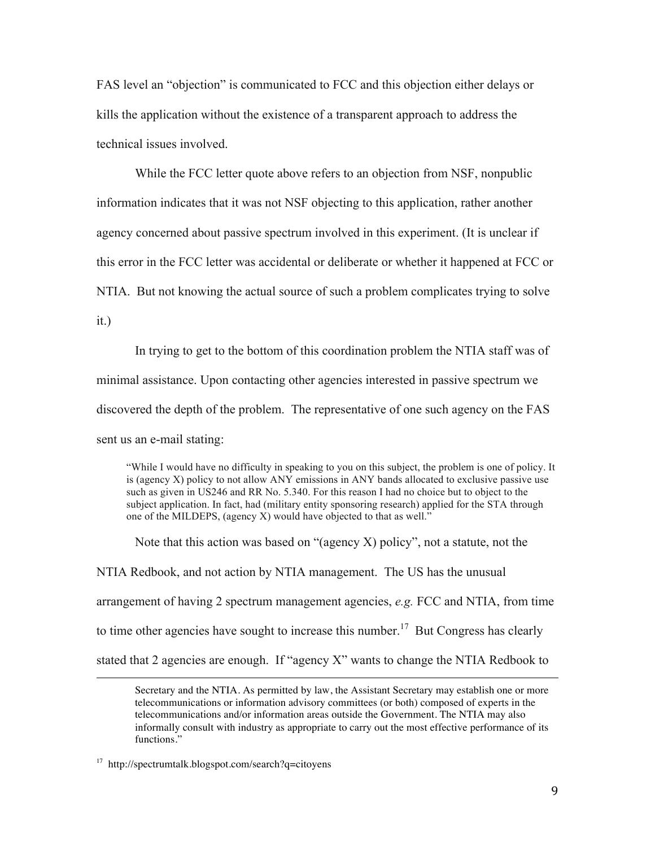FAS level an "objection" is communicated to FCC and this objection either delays or kills the application without the existence of a transparent approach to address the technical issues involved.

While the FCC letter quote above refers to an objection from NSF, nonpublic information indicates that it was not NSF objecting to this application, rather another agency concerned about passive spectrum involved in this experiment. (It is unclear if this error in the FCC letter was accidental or deliberate or whether it happened at FCC or NTIA. But not knowing the actual source of such a problem complicates trying to solve it.)

In trying to get to the bottom of this coordination problem the NTIA staff was of minimal assistance. Upon contacting other agencies interested in passive spectrum we discovered the depth of the problem. The representative of one such agency on the FAS sent us an e-mail stating:

"While I would have no difficulty in speaking to you on this subject, the problem is one of policy. It is (agency X) policy to not allow ANY emissions in ANY bands allocated to exclusive passive use such as given in US246 and RR No. 5.340. For this reason I had no choice but to object to the subject application. In fact, had (military entity sponsoring research) applied for the STA through one of the MILDEPS, (agency X) would have objected to that as well."

Note that this action was based on "(agency X) policy", not a statute, not the NTIA Redbook, and not action by NTIA management. The US has the unusual arrangement of having 2 spectrum management agencies, *e.g.* FCC and NTIA, from time to time other agencies have sought to increase this number.<sup>17</sup> But Congress has clearly stated that 2 agencies are enough. If "agency X" wants to change the NTIA Redbook to

<u> 1989 - Johann Barbert, fransk politik (d. 1989)</u>

Secretary and the NTIA. As permitted by law, the Assistant Secretary may establish one or more telecommunications or information advisory committees (or both) composed of experts in the telecommunications and/or information areas outside the Government. The NTIA may also informally consult with industry as appropriate to carry out the most effective performance of its functions."

<sup>17</sup> http://spectrumtalk.blogspot.com/search?q=citoyens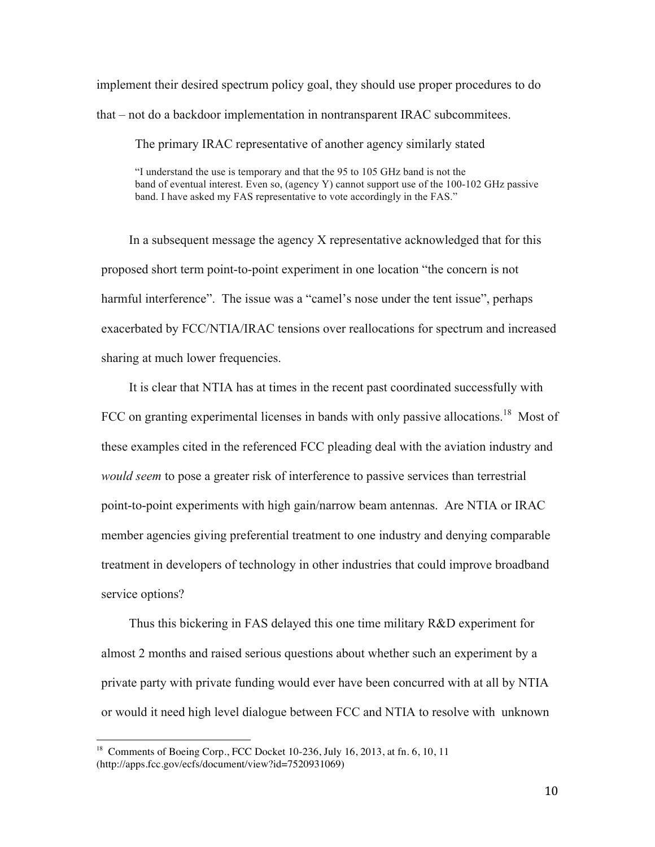implement their desired spectrum policy goal, they should use proper procedures to do that – not do a backdoor implementation in nontransparent IRAC subcommitees.

The primary IRAC representative of another agency similarly stated

"I understand the use is temporary and that the 95 to 105 GHz band is not the band of eventual interest. Even so, (agency Y) cannot support use of the 100-102 GHz passive band. I have asked my FAS representative to vote accordingly in the FAS."

In a subsequent message the agency X representative acknowledged that for this proposed short term point-to-point experiment in one location "the concern is not harmful interference". The issue was a "camel's nose under the tent issue", perhaps exacerbated by FCC/NTIA/IRAC tensions over reallocations for spectrum and increased sharing at much lower frequencies.

It is clear that NTIA has at times in the recent past coordinated successfully with FCC on granting experimental licenses in bands with only passive allocations.<sup>18</sup> Most of these examples cited in the referenced FCC pleading deal with the aviation industry and *would seem* to pose a greater risk of interference to passive services than terrestrial point-to-point experiments with high gain/narrow beam antennas. Are NTIA or IRAC member agencies giving preferential treatment to one industry and denying comparable treatment in developers of technology in other industries that could improve broadband service options?

Thus this bickering in FAS delayed this one time military R&D experiment for almost 2 months and raised serious questions about whether such an experiment by a private party with private funding would ever have been concurred with at all by NTIA or would it need high level dialogue between FCC and NTIA to resolve with unknown

<sup>&</sup>lt;sup>18</sup> Comments of Boeing Corp., FCC Docket 10-236, July 16, 2013, at fn. 6, 10, 11 (http://apps.fcc.gov/ecfs/document/view?id=7520931069)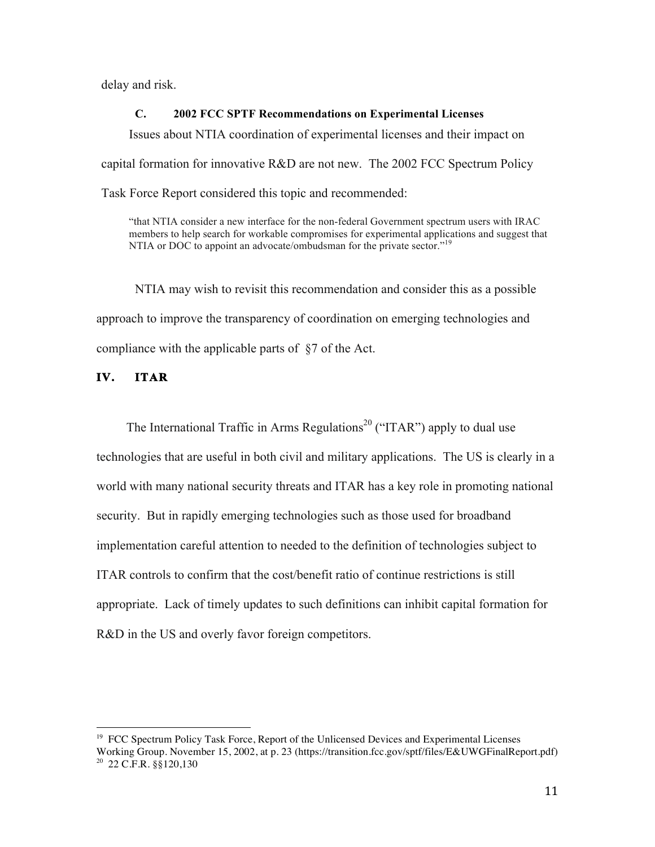delay and risk.

#### **C. 2002 FCC SPTF Recommendations on Experimental Licenses**

Issues about NTIA coordination of experimental licenses and their impact on capital formation for innovative R&D are not new. The 2002 FCC Spectrum Policy Task Force Report considered this topic and recommended:

"that NTIA consider a new interface for the non-federal Government spectrum users with IRAC members to help search for workable compromises for experimental applications and suggest that NTIA or DOC to appoint an advocate/ombudsman for the private sector."<sup>19</sup>

NTIA may wish to revisit this recommendation and consider this as a possible approach to improve the transparency of coordination on emerging technologies and compliance with the applicable parts of §7 of the Act.

## **IV. ITAR**

 

The International Traffic in Arms Regulations<sup>20</sup> ("ITAR") apply to dual use technologies that are useful in both civil and military applications. The US is clearly in a world with many national security threats and ITAR has a key role in promoting national security. But in rapidly emerging technologies such as those used for broadband implementation careful attention to needed to the definition of technologies subject to ITAR controls to confirm that the cost/benefit ratio of continue restrictions is still appropriate. Lack of timely updates to such definitions can inhibit capital formation for R&D in the US and overly favor foreign competitors.

<sup>&</sup>lt;sup>19</sup> FCC Spectrum Policy Task Force, Report of the Unlicensed Devices and Experimental Licenses Working Group. November 15, 2002, at p. 23 (https://transition.fcc.gov/sptf/files/E&UWGFinalReport.pdf)  $20$  22 C.F.R.  $\frac{88120,130}{20}$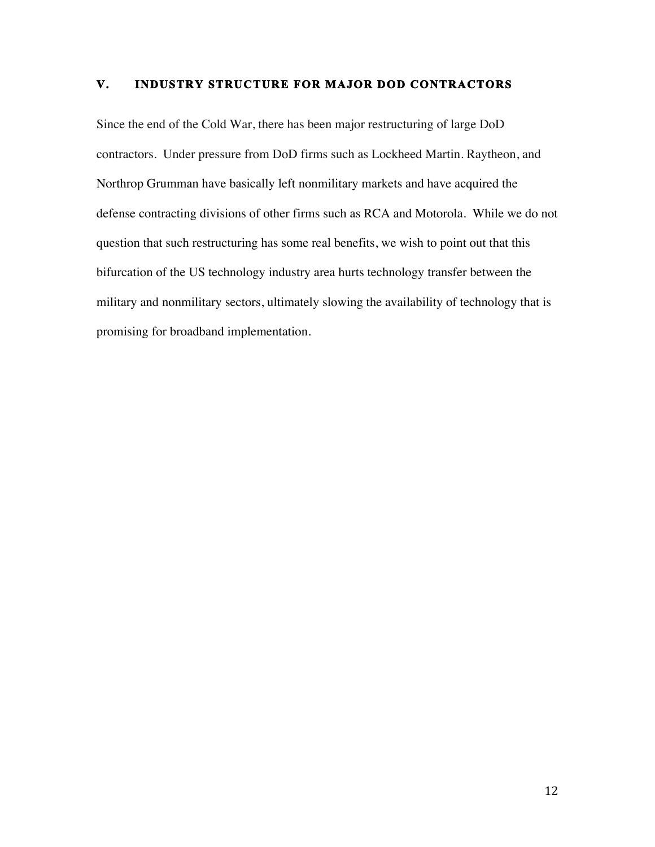## **V. INDUSTRY STRUCTURE FOR MAJOR DOD CONTRACTORS**

Since the end of the Cold War, there has been major restructuring of large DoD contractors. Under pressure from DoD firms such as Lockheed Martin. Raytheon, and Northrop Grumman have basically left nonmilitary markets and have acquired the defense contracting divisions of other firms such as RCA and Motorola. While we do not question that such restructuring has some real benefits, we wish to point out that this bifurcation of the US technology industry area hurts technology transfer between the military and nonmilitary sectors, ultimately slowing the availability of technology that is promising for broadband implementation.